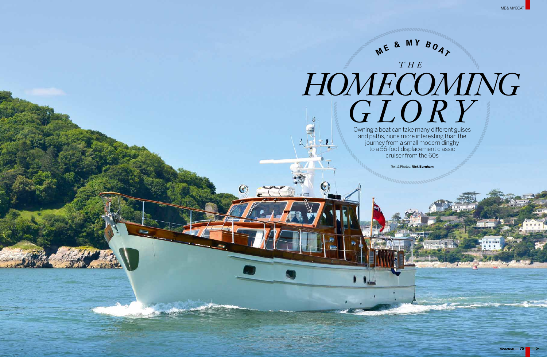Owning a boat can take many different guises and paths, none more interesting than the journey from a small modern dinghy to a 56-foot displacement classic cruiser from the 60s

Text & Photos: **Nick Burnham**



# **M <sup>E</sup> & <sup>M</sup> <sup>Y</sup> <sup>B</sup> <sup>O</sup> <sup>A</sup> <sup>T</sup>** *T H E Homecoming*   $GLOR$ <sup>T</sup>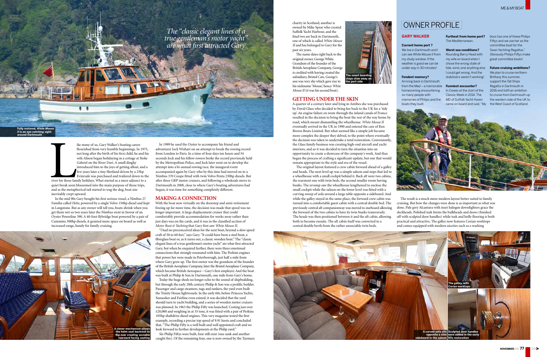The Text of the Search of the Search of the Search of the Search of the Search of the Search of the Search of the Search of the Search of the Search of the Search of the Search of the Search of the Search of the Search of ike many of us, Gary Walker's boating career flourished from very humble beginnings. In 1975, not long after the birth of his first child, he and his wife Alison began holidaying in a cottage at Stoke Gabriel on the River Dart.A small dinghy introduced him to the joys of getting afloat, and a few years later a tiny Shetland driven by a 25hp Evinrude was purchased and trailered down to the river for those family holidays.What started as a mere adjunct to a quiet break soon blossomed into the main purpose of those trips, and as the metaphorical tail started to wag the dog, boat size inevitably crept upward.

In the mid 90s Gary bought his first serious vessel, a Nimbus 27 Familia called *Hebe*, powered by a single Volvo 150hp diesel and kept in Langstone. But as any owner will tell you, boats shrink when you get them wet so two years later the Nimbus went in favour of an Oyster Powerline 390.A 40-foot flybridge boat powered by a pair of Cummins 300hp diesels, it granted more space on board as well as increased range, handy for family cruising.

In 1999 he used the Oyster to accompany his friend and adventurer Jock Wishart on an attempt to break the rowing record from London to Paris. In a time of four days ten hours and 54 seconds Jock and his fellow rowers broke the record previously held by the Metropolitan Police, and Jock later went on to develop the attempt into a bi-annual rowing race, the inaugural event accompanied again by Gary who by this time had moved on to a Nimbus 370 Coupe fitted with twin Volvo Penta 230hp diesels. But after three GRP motor cruisers, and following a wholesale move to Dartmouth in 2008, close to where Gary's boating adventures had begun, it was time for something completely different.

# **making a connection**

With the boat now virtually on the doorstep and semi-retirement freeing up far more time, the decision was made that speed was no longer important.A large displacement cruiser that could comfortably provide accommodation for weeks away rather than just days was on the cards, and it was in the classified section of *Motor Boat & Yachting* that Gary first saw *White Mouse II*.

"I had no preconceived ideas for the next boat, beyond a slow speed craft of 50 to 60 feet," says Gary."It could have been a steel boat, a fibreglass boat or, as it turns out, a classic wooden boat."The "classic elegant lines of a true gentleman's motor yacht" are what first attracted Gary, but when he enquired further, there were three emotional connections that strongly resonated with him. The Perkins engines that power her were made in Peterborough, just half a mile from where Gary grew up. The first owner was the grandson of the founder of the British Aeroplane Company, later the Bristol Aeroplane Company, which became British Aerospace - Gary's first employer. And the boat was built at Philip & Son in Dartmouth, one mile from Gary's home.

Today the huge sheds no longer echo to the sound of shipbuilding, but through the early 20th century Philip & Son was a prolific builder. Passenger and cargo steamers, tugs and tankers, the yard even built the Trinity House lightvessels.In the early 60s, before Princess Yachts, Sunseeker and Fairline even existed, it was decided that the yard should turn to yacht building, and a series of wooden motor cruisers was planned.In 1963 the Philip Fifty was launched. Costing just over £20,000 and weighing in at 35 tons, it was fitted with a pair of Perkins 105hp shaftdrive diesel engines. This very magazine tested the first example, recording a precise top speed of 9.91 knots and concluded that,"The Philip Fifty is a well built and well appointed craft and we look forward to further developments at the Philip yard."

Six Philip Fiftys were built, four still exist (one sank and another caught fire). Of the remaining four, one is now owned by the Taymara









**steps stow away on the port side** 

## **GETTING UNDER THE SKIN**

# OWNER PROFILE

# **GARY WALKER**

#### **Current home port ?**

We live in Dartmouth and I can see *White Mouse II* from my study window. If the weather is good we can be under way in 30 minutes!

#### **Fondest memory?**

Arriving back in Dartmouth from the Med – a memorable homecoming encountering so many people with memories of Philips and the boats they built.

The Mediterranean.

#### **Worst sea conditions?**

Rounding Berry Head with my wife on board when I chose the wrong state of tide, wind, and anything else I could get wrong. And the stabilisers weren't working!

#### **Funniest encounter?**

**Furthest from home port?**  boss has one of these Philips Fiftys and we use her as the committee boat for the Swan Yachting Regattas." Obviously Philips Fiftys make great committee boats!

In Cowes at the start of the Classic Week in 2014. The MD of Suffolk Yacht Haven

came on board and said, "My the West Coast of Scotland. We plan to cruise northern Brittany this summer, support the Tall Ships Regatta in Dartmouth in 2016 and fulfil an ambition to cruise from Dartmouth up the western side of the UK to



#### **Future cruising ambitions?**

charity in Scotland, another is owned by Mike Spear who created Suffolk Yacht Harbour, and the final two are back in Dartmouth, one of which is called *White Mouse II* and has belonged to Gary for the past six years.

The name dates right back to the original owner, GeorgeWhite. Grandson of the founder of the British Aeroplane Company, George is credited with having created the subsidiary, Bristol Cars. George's son was very shy which gave rise to his nickname 'Mouse', hence *White Mouse II* (it was his second boat).

A quarter of a century later and lying in Antibes she was purchased by David Glass who decided to bring her back to the UK for a 'tidy up'.An engine failure en route through the inland canals of France resulted in the decision to bring the boat the rest of the way home by road, which meant dismantling the wheelhouse. *White Mouse II*  eventually arrived in the UK in 1990 and entered the care of Ken Brown Boats Limited. But what seemed like a simple job became more complex the deeper they delved, to the point where eventually the decision was taken to undertake a total restoration. Conveniently, the Glass family business was creating high-end aircraft and yacht interiors, and so it was decided to turn the situation into an opportunity to create a showcase of the company's work.And thus began the process of crafting a significant update, but one that would remain appropriate to the style and era of the vessel.

The original layout featured a crew cabin forward ahead of a galley and heads. The next level up was a simple saloon and steps that led to a wheelhouse with a small cockpit behind it. Back aft were two cabins, the rearmost one with twin beds, the second smaller room having bunks. The revamp saw the wheelhouse lengthened to enclose the small cockpit while the saloon on the lower level was fitted with a curving sweep of sofa around a large table opposite a sideboard.And while the galley stayed in the same place, the forward crew cabin was turned into a comfortable guest cabin with a central double bed. The previously central aft companionway was moved to starboard allowing the forward of the two cabins to have its twin bunks transversely. The heads was then positioned between it and the aft cabin, allowing both to become ensuite. The aft cabin itself was converted to a central double berth from the rather unsociable twin beds. The result is a much more modern layout better suited to family cruising. But how the changes were done is as important as what was done. Pale grey Alcantara with inset halogen downlighters grace the deckheads. Polished teak forms the bulkheads and doors (finished off with sculpted door handles) while teak and holly flooring is both practical and attractive. The galley now features Corian worktops and comes equipped with modern niceties such as a washing